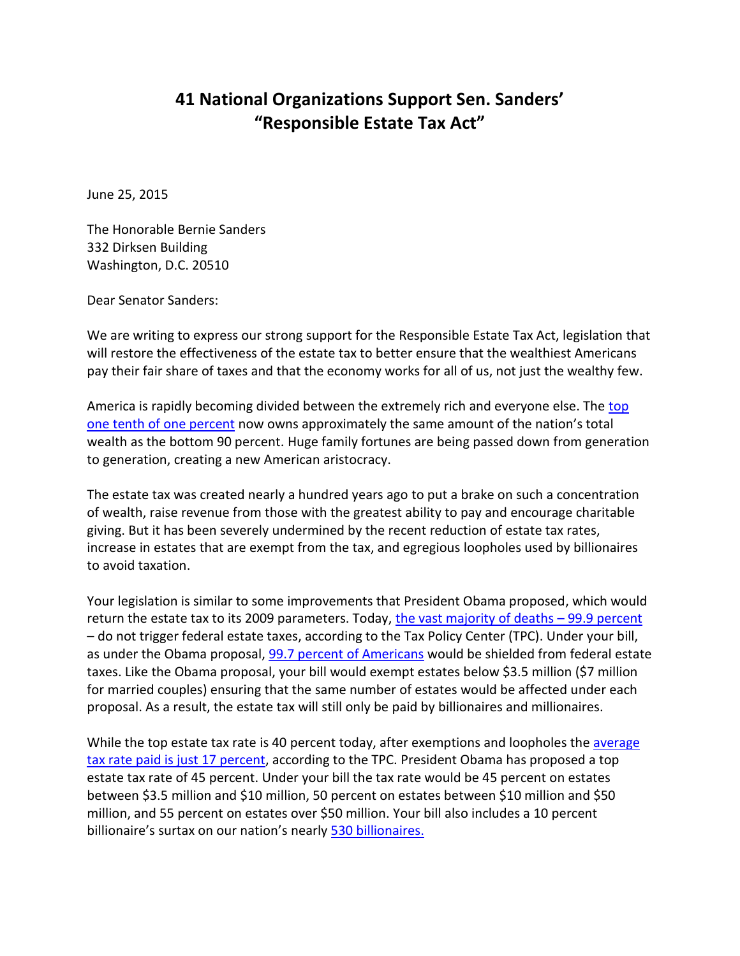## **41 National Organizations Support Sen. Sanders' "Responsible Estate Tax Act"**

June 25, 2015

The Honorable Bernie Sanders 332 Dirksen Building Washington, D.C. 20510

Dear Senator Sanders:

We are writing to express our strong support for the Responsible Estate Tax Act, legislation that will restore the effectiveness of the estate tax to better ensure that the wealthiest Americans pay their fair share of taxes and that the economy works for all of us, not just the wealthy few.

America is rapidly becoming divided between the extremely rich and everyone else. The top [one tenth of one percent](http://gabriel-zucman.eu/files/SaezZucman2014.pdf) now owns approximately the same amount of the nation's total wealth as the bottom 90 percent. Huge family fortunes are being passed down from generation to generation, creating a new American aristocracy.

The estate tax was created nearly a hundred years ago to put a brake on such a concentration of wealth, raise revenue from those with the greatest ability to pay and encourage charitable giving. But it has been severely undermined by the recent reduction of estate tax rates, increase in estates that are exempt from the tax, and egregious loopholes used by billionaires to avoid taxation.

Your legislation is similar to some improvements that President Obama proposed, which would return the estate tax to its 2009 parameters. Today, [the vast majority of deaths](http://www.taxpolicycenter.org/taxtopics/estatetax.cfm) – 99.9 percent – do not trigger federal estate taxes, according to the Tax Policy Center (TPC). Under your bill, as under the Obama proposal, 99.7 percent [of Americans](http://ctj.org/ctjreports/2014/03/the_presidents_fiscal_year_2015_budget_tax_provisions_to_benefit_individuals_and_raise_revenue.php#_edn7) would be shielded from federal estate taxes. Like the Obama proposal, your bill would exempt estates below \$3.5 million (\$7 million for married couples) ensuring that the same number of estates would be affected under each proposal. As a result, the estate tax will still only be paid by billionaires and millionaires.

While the top estate tax rate is 40 percent today, after exemptions and loopholes the average [tax rate paid is just 17](http://www.taxpolicycenter.org/numbers/displayatab.cfm?Docid=3776&DocTypeID=7) percent, according to the TPC. President Obama has proposed a top estate tax rate of 45 percent. Under your bill the tax rate would be 45 percent on estates between \$3.5 million and \$10 million, 50 percent on estates between \$10 million and \$50 million, and 55 percent on estates over \$50 million. Your bill also includes a 10 percent billionaire's surtax on our nation's nearly 530 [billionaires.](http://www.forbes.com/billionaires/list/12/#version:static_country:United%20States)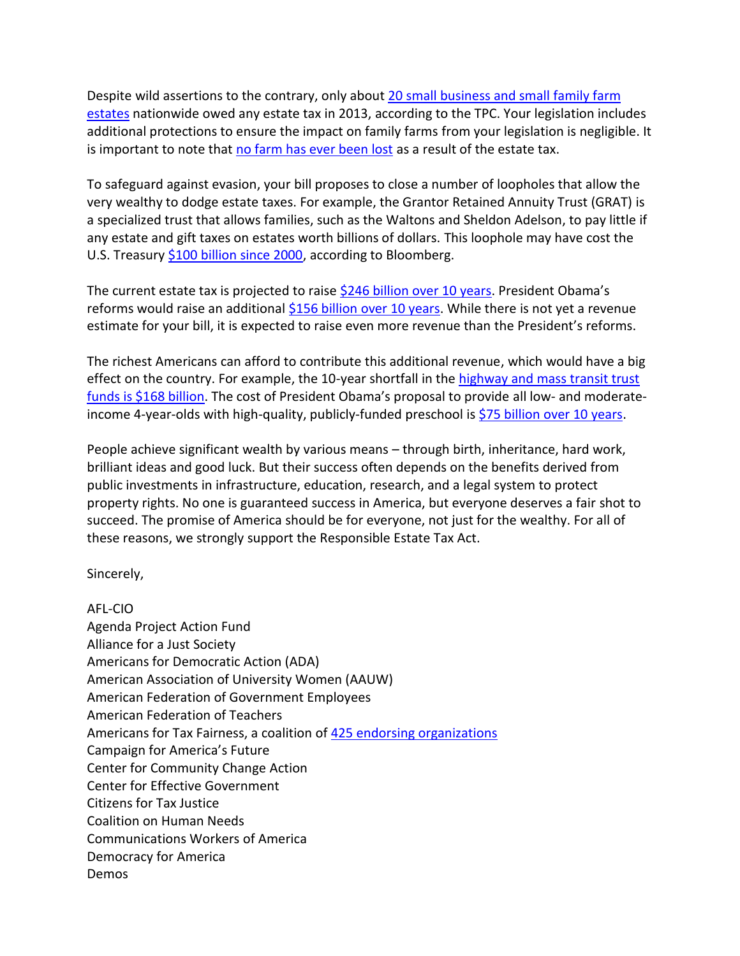Despite wild assertions to the contrary, only about [20 small business and small family farm](http://www.cbpp.org/cms/?fa=view&id=2655)  [estates](http://www.cbpp.org/cms/?fa=view&id=2655) nationwide owed any estate tax in 2013, according to the TPC. Your legislation includes additional protections to ensure the impact on family farms from your legislation is negligible. It is important to note that [no farm has ever been lost](http://america.aljazeera.com/opinions/2015/3/the-estate-tax-isnt-destroying-family-farms.html) as a result of the estate tax.

To safeguard against evasion, your bill proposes to close a number of loopholes that allow the very wealthy to dodge estate taxes. For example, the Grantor Retained Annuity Trust (GRAT) is a specialized trust that allows families, such as the Waltons and Sheldon Adelson, to pay little if any estate and gift taxes on estates worth billions of dollars. This loophole may have cost the U.S. Treasury [\\$100 billion since 2000,](http://www.bloomberg.com/news/2013-12-17/accidental-tax-break-saves-wealthiest-americans-100-billion.html) according to Bloomberg.

The current estate tax is projected to raise \$246 [billion over 10 years](https://www.cbo.gov/sites/default/files/cbofiles/attachments/45069-2015-03-BudgetDataProjections-3.xlsx). President Obama's reforms would raise an additional \$156 [billion over 10 years.](https://www.jct.gov/publications.html?func=startdown&id=4739) While there is not yet a revenue estimate for your bill, it is expected to raise even more revenue than the President's reforms.

The richest Americans can afford to contribute this additional revenue, which would have a big effect on the country. For example, the 10-year shortfall in the [highway and mass transit trust](https://www.cbo.gov/sites/default/files/cbofiles/attachments/43884-2015-01-HighwayTrustFund.pdf)  [funds is \\$168](https://www.cbo.gov/sites/default/files/cbofiles/attachments/43884-2015-01-HighwayTrustFund.pdf) billion. The cost of President Obama's proposal to provide all low- and moderateincome 4-year-olds with high-quality, publicly-funded preschool is  $$75$  billion over 10 years.

People achieve significant wealth by various means – through birth, inheritance, hard work, brilliant ideas and good luck. But their success often depends on the benefits derived from public investments in infrastructure, education, research, and a legal system to protect property rights. No one is guaranteed success in America, but everyone deserves a fair shot to succeed. The promise of America should be for everyone, not just for the wealthy. For all of these reasons, we strongly support the Responsible Estate Tax Act.

Sincerely,

AFL-CIO Agenda Project Action Fund Alliance for a Just Society Americans for Democratic Action (ADA) American Association of University Women (AAUW) American Federation of Government Employees American Federation of Teachers Americans for Tax Fairness, a coalition of [425 endorsing organizations](http://www.americansfortaxfairness.org/about/endorsements/) Campaign for America's Future Center for Community Change Action Center for Effective Government Citizens for Tax Justice Coalition on Human Needs Communications Workers of America Democracy for America Demos